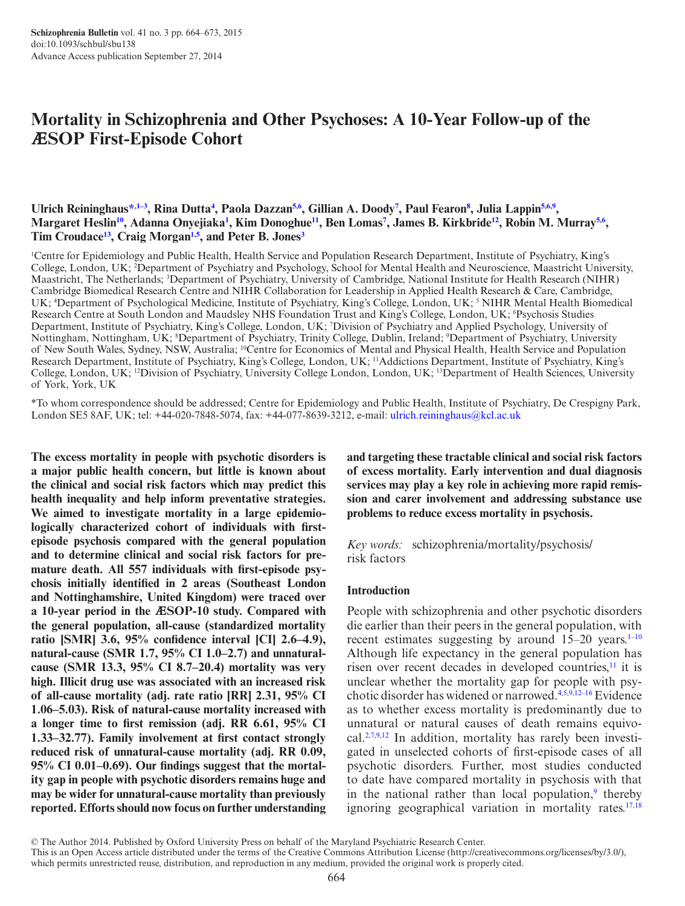# **Mortality in Schizophrenia and Other Psychoses: A 10-Year Follow-up of the ӔSOP First-Episode Cohort**

### Ulrich Reininghaus\*<sup>,1-3</sup>, Rina Dutta<sup>4</sup>, Paola Dazzan<sup>[5](#page-0-3),[6](#page-0-4)</sup>, Gillian A. Doody<sup>[7](#page-0-5)</sup>, Paul Fearon<sup>[8](#page-0-6)</sup>, Julia Lappin<sup>5[,6](#page-0-4),[9](#page-0-7)</sup>, **Margaret Hesli[n10,](#page-0-8) Adanna Onyejiaka[1](#page-0-1) , Kim Donoghu[e11,](#page-0-9) Ben Loma[s7](#page-0-5) , James B. Kirkbrid[e12](#page-0-10), Robin M. Murray[5,](#page-0-3)[6](#page-0-4) , Tim Croudace[13,](#page-0-11) Craig Morgan[1,](#page-0-1)[5](#page-0-3) , and Peter B. Jone[s3](#page-0-12)**

<span id="page-0-12"></span><span id="page-0-5"></span><span id="page-0-4"></span><span id="page-0-3"></span><span id="page-0-2"></span><span id="page-0-1"></span>1 Centre for Epidemiology and Public Health, Health Service and Population Research Department, Institute of Psychiatry, King's College, London, UK; <sup>2</sup>Department of Psychiatry and Psychology, School for Mental Health and Neuroscience, Maastricht University, Maastricht, The Netherlands; 3 Department of Psychiatry, University of Cambridge, National Institute for Health Research (NIHR) Cambridge Biomedical Research Centre and NIHR Collaboration for Leadership in Applied Health Research & Care, Cambridge, UK; <sup>4</sup>Department of Psychological Medicine, Institute of Psychiatry, King's College, London, UK; <sup>5</sup> NIHR Mental Health Biomedical Research Centre at South London and Maudsley NHS Foundation Trust and King's College, London, UK; <sup>6</sup>Psychosis Studies Department, Institute of Psychiatry, King's College, London, UK; 7 Division of Psychiatry and Applied Psychology, University of Nottingham, Nottingham, UK; 8 Department of Psychiatry, Trinity College, Dublin, Ireland; 9 Department of Psychiatry, University of New South Wales, Sydney, NSW, Australia; 10Centre for Economics of Mental and Physical Health, Health Service and Population Research Department, Institute of Psychiatry, King's College, London, UK; 11Addictions Department, Institute of Psychiatry, King's College, London, UK; 12Division of Psychiatry, University College London, London, UK; 13Department of Health Sciences, University of York, York, UK

<span id="page-0-10"></span><span id="page-0-9"></span><span id="page-0-8"></span><span id="page-0-6"></span><span id="page-0-0"></span>\*To whom correspondence should be addressed; Centre for Epidemiology and Public Health, Institute of Psychiatry, De Crespigny Park, London SE5 8AF, UK; tel: +44-020-7848-5074, fax: +44-077-8639-3212, e-mail: [ulrich.reininghaus@kcl.ac.uk](mailto:ulrich.reininghaus@kcl.ac.uk?subject=)

**The excess mortality in people with psychotic disorders is a major public health concern, but little is known about the clinical and social risk factors which may predict this health inequality and help inform preventative strategies. We aimed to investigate mortality in a large epidemiologically characterized cohort of individuals with firstepisode psychosis compared with the general population and to determine clinical and social risk factors for premature death. All 557 individuals with first-episode psychosis initially identified in 2 areas (Southeast London and Nottinghamshire, United Kingdom) were traced over a 10-year period in the ӔSOP-10 study. Compared with the general population, all-cause (standardized mortality ratio [SMR] 3.6, 95% confidence interval [CI] 2.6–4.9), natural-cause (SMR 1.7, 95% CI 1.0–2.7) and unnaturalcause (SMR 13.3, 95% CI 8.7–20.4) mortality was very high. Illicit drug use was associated with an increased risk of all-cause mortality (adj. rate ratio [RR] 2.31, 95% CI 1.06–5.03). Risk of natural-cause mortality increased with a longer time to first remission (adj. RR 6.61, 95% CI 1.33–32.77). Family involvement at first contact strongly reduced risk of unnatural-cause mortality (adj. RR 0.09, 95% CI 0.01–0.69). Our findings suggest that the mortality gap in people with psychotic disorders remains huge and may be wider for unnatural-cause mortality than previously reported. Efforts should now focus on further understanding**  <span id="page-0-11"></span><span id="page-0-7"></span>**and targeting these tractable clinical and social risk factors of excess mortality. Early intervention and dual diagnosis services may play a key role in achieving more rapid remission and carer involvement and addressing substance use problems to reduce excess mortality in psychosis.**

*Key words:* schizophrenia/mortality/psychosis/ risk factors

#### **Introduction**

People with schizophrenia and other psychotic disorders die earlier than their peers in the general population, with recent estimates suggesting by around  $15-20$  years.<sup>1–10</sup> Although life expectancy in the general population has risen over recent decades in developed countries, $\frac{11}{11}$  it is unclear whether the mortality gap for people with psy-chotic disorder has widened or narrowed.<sup>[4](#page-8-2)[,5](#page-8-3)[,9](#page-8-4),12-16</sup> Evidence as to whether excess mortality is predominantly due to unnatural or natural causes of death remains equivo-cal.<sup>2,[7](#page-8-7)[,9,](#page-8-4)[12](#page-8-5)</sup> In addition, mortality has rarely been investigated in unselected cohorts of first-episode cases of all psychotic disorders. Further, most studies conducted to date have compared mortality in psychosis with that in the national rather than local population, $9$  thereby ignoring geographical variation in mortality rates.<sup>[17](#page-8-8)[,18](#page-8-9)</sup>

© The Author 2014. Published by Oxford University Press on behalf of the Maryland Psychiatric Research Center.

which permits unrestricted reuse, distribution, and reproduction in any medium, provided the original work is properly cited.

This is an Open Access article distributed under the terms of the Creative Commons Attribution License (http://creativecommons.org/licenses/by/3.0/),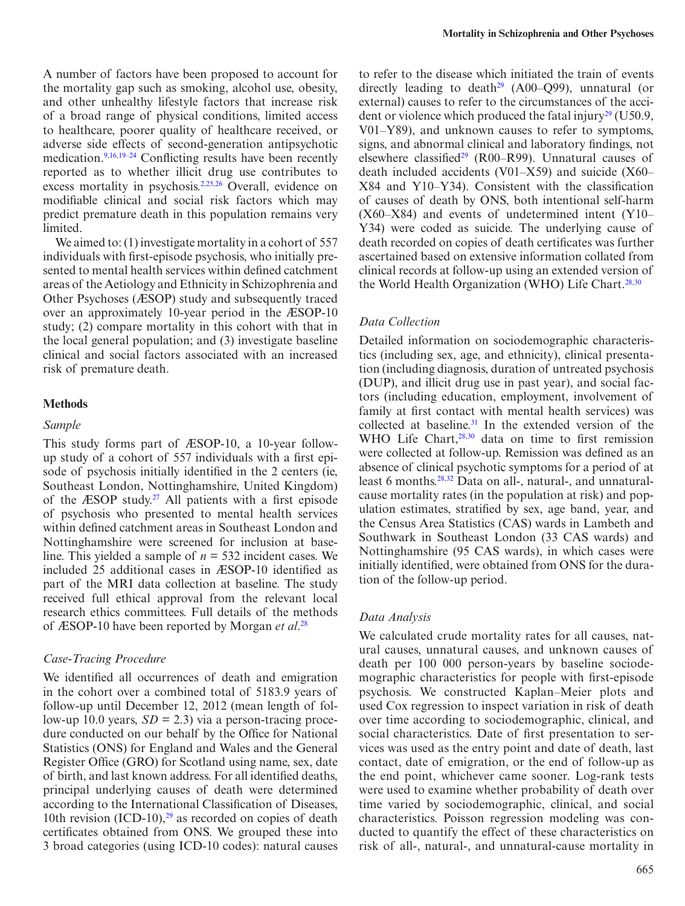A number of factors have been proposed to account for the mortality gap such as smoking, alcohol use, obesity, and other unhealthy lifestyle factors that increase risk of a broad range of physical conditions, limited access to healthcare, poorer quality of healthcare received, or adverse side effects of second-generation antipsychotic medication.[9,](#page-8-4)[16](#page-8-10)[,19–24](#page-8-11) Conflicting results have been recently reported as to whether illicit drug use contributes to excess mortality in psychosis.<sup>2,[25](#page-8-12),[26](#page-8-13)</sup> Overall, evidence on modifiable clinical and social risk factors which may predict premature death in this population remains very limited.

We aimed to: (1) investigate mortality in a cohort of 557 individuals with first-episode psychosis, who initially presented to mental health services within defined catchment areas of the Aetiology and Ethnicity in Schizophrenia and Other Psychoses (ӔSOP) study and subsequently traced over an approximately 10-year period in the ӔSOP-10 study; (2) compare mortality in this cohort with that in the local general population; and (3) investigate baseline clinical and social factors associated with an increased risk of premature death.

#### **Methods**

#### *Sample*

This study forms part of ӔSOP-10, a 10-year followup study of a cohort of 557 individuals with a first episode of psychosis initially identified in the 2 centers (ie, Southeast London, Nottinghamshire, United Kingdom) of the  $ÆSOP$  study.<sup>27</sup> All patients with a first episode of psychosis who presented to mental health services within defined catchment areas in Southeast London and Nottinghamshire were screened for inclusion at baseline. This yielded a sample of *n* = 532 incident cases. We included 25 additional cases in ӔSOP-10 identified as part of the MRI data collection at baseline. The study received full ethical approval from the relevant local research ethics committees. Full details of the methods of ӔSOP-10 have been reported by Morgan *et al*. [28](#page-9-1)

#### *Case-Tracing Procedure*

We identified all occurrences of death and emigration in the cohort over a combined total of 5183.9 years of follow-up until December 12, 2012 (mean length of follow-up 10.0 years,  $SD = 2.3$ ) via a person-tracing procedure conducted on our behalf by the Office for National Statistics (ONS) for England and Wales and the General Register Office (GRO) for Scotland using name, sex, date of birth, and last known address. For all identified deaths, principal underlying causes of death were determined according to the International Classification of Diseases, 10th revision  $(ICD-10)$ ,<sup>29</sup> as recorded on copies of death certificates obtained from ONS. We grouped these into 3 broad categories (using ICD-10 codes): natural causes to refer to the disease which initiated the train of events directly leading to death<sup>29</sup> (A00–O99), unnatural (or external) causes to refer to the circumstances of the accident or violence which produced the fatal injury<sup>29</sup> (U50.9, V01–Y89), and unknown causes to refer to symptoms, signs, and abnormal clinical and laboratory findings, not elsewhere classified<sup>[29](#page-9-2)</sup> (R00–R99). Unnatural causes of death included accidents (V01–X59) and suicide (X60– X84 and Y10–Y34). Consistent with the classification of causes of death by ONS, both intentional self-harm (X60–X84) and events of undetermined intent (Y10– Y34) were coded as suicide. The underlying cause of death recorded on copies of death certificates was further ascertained based on extensive information collated from clinical records at follow-up using an extended version of the World Health Organization (WHO) Life Chart.<sup>28,[30](#page-9-3)</sup>

#### *Data Collection*

Detailed information on sociodemographic characteristics (including sex, age, and ethnicity), clinical presentation (including diagnosis, duration of untreated psychosis (DUP), and illicit drug use in past year), and social factors (including education, employment, involvement of family at first contact with mental health services) was collected at baseline.<sup>31</sup> In the extended version of the WHO Life Chart, $28,30$  $28,30$  data on time to first remission were collected at follow-up. Remission was defined as an absence of clinical psychotic symptoms for a period of at least 6 months.[28](#page-9-1)[,32](#page-9-5) Data on all-, natural-, and unnaturalcause mortality rates (in the population at risk) and population estimates, stratified by sex, age band, year, and the Census Area Statistics (CAS) wards in Lambeth and Southwark in Southeast London (33 CAS wards) and Nottinghamshire (95 CAS wards), in which cases were initially identified, were obtained from ONS for the duration of the follow-up period.

#### *Data Analysis*

We calculated crude mortality rates for all causes, natural causes, unnatural causes, and unknown causes of death per 100 000 person-years by baseline sociodemographic characteristics for people with first-episode psychosis. We constructed Kaplan–Meier plots and used Cox regression to inspect variation in risk of death over time according to sociodemographic, clinical, and social characteristics. Date of first presentation to services was used as the entry point and date of death, last contact, date of emigration, or the end of follow-up as the end point, whichever came sooner. Log-rank tests were used to examine whether probability of death over time varied by sociodemographic, clinical, and social characteristics. Poisson regression modeling was conducted to quantify the effect of these characteristics on risk of all-, natural-, and unnatural-cause mortality in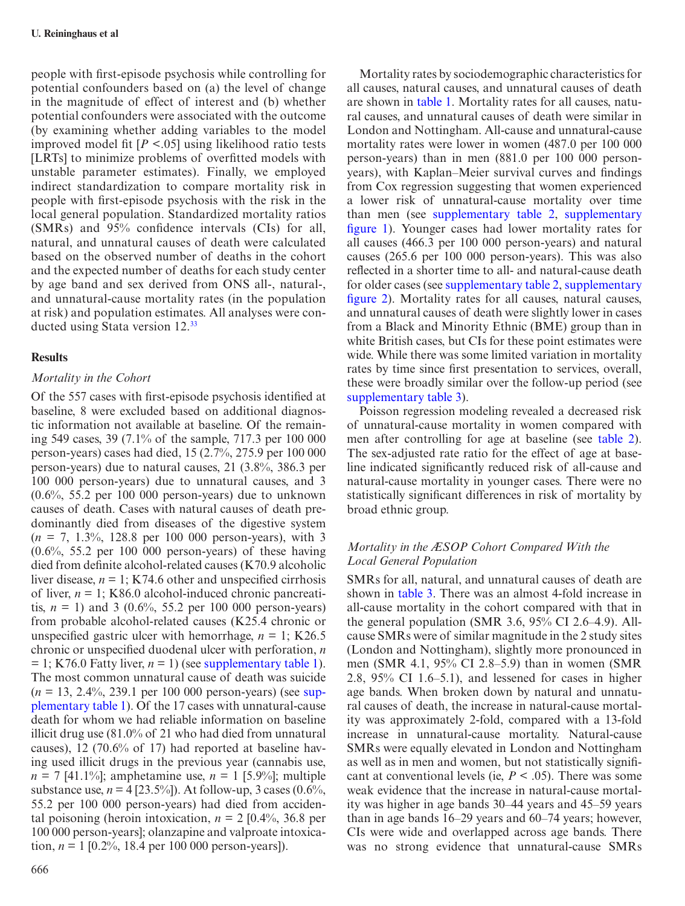people with first-episode psychosis while controlling for potential confounders based on (a) the level of change in the magnitude of effect of interest and (b) whether potential confounders were associated with the outcome (by examining whether adding variables to the model improved model fit [*P* <.05] using likelihood ratio tests [LRTs] to minimize problems of overfitted models with unstable parameter estimates). Finally, we employed indirect standardization to compare mortality risk in people with first-episode psychosis with the risk in the local general population. Standardized mortality ratios (SMRs) and 95% confidence intervals (CIs) for all, natural, and unnatural causes of death were calculated based on the observed number of deaths in the cohort and the expected number of deaths for each study center by age band and sex derived from ONS all-, natural-, and unnatural-cause mortality rates (in the population at risk) and population estimates. All analyses were conducted using Stata version 12.[33](#page-9-6)

### **Results**

### *Mortality in the Cohort*

Of the 557 cases with first-episode psychosis identified at baseline, 8 were excluded based on additional diagnostic information not available at baseline. Of the remaining 549 cases, 39 (7.1% of the sample, 717.3 per 100 000 person-years) cases had died, 15 (2.7%, 275.9 per 100 000 person-years) due to natural causes, 21 (3.8%, 386.3 per 100 000 person-years) due to unnatural causes, and 3  $(0.6\%), 55.2$  per 100 000 person-years) due to unknown causes of death. Cases with natural causes of death predominantly died from diseases of the digestive system  $(n = 7, 1.3\%, 128.8 \text{ per } 100, 000 \text{ person-years})$ , with 3  $(0.6\%, 55.2 \text{ per } 100\,000 \text{ person-years})$  of these having died from definite alcohol-related causes (K70.9 alcoholic liver disease,  $n = 1$ ; K74.6 other and unspecified cirrhosis of liver,  $n = 1$ ; K86.0 alcohol-induced chronic pancreatitis,  $n = 1$ ) and 3 (0.6%, 55.2 per 100 000 person-years) from probable alcohol-related causes (K25.4 chronic or unspecified gastric ulcer with hemorrhage,  $n = 1$ ; K26.5 chronic or unspecified duodenal ulcer with perforation, *n*   $= 1$ ; K76.0 Fatty liver,  $n = 1$ ) (see [supplementary table 1](http://schizophreniabulletin.oxfordjournals.org/lookup/suppl/doi:10.1093/schbul/sbu138/-/DC1)). The most common unnatural cause of death was suicide (*n* = 13, 2.4%, 239.1 per 100 000 person-years) (see [sup](http://schizophreniabulletin.oxfordjournals.org/lookup/suppl/doi:10.1093/schbul/sbu138/-/DC1)[plementary table 1\)](http://schizophreniabulletin.oxfordjournals.org/lookup/suppl/doi:10.1093/schbul/sbu138/-/DC1). Of the 17 cases with unnatural-cause death for whom we had reliable information on baseline illicit drug use (81.0% of 21 who had died from unnatural causes), 12 (70.6% of 17) had reported at baseline having used illicit drugs in the previous year (cannabis use, *n* = 7 [41.1%]; amphetamine use, *n* = 1 [5.9%]; multiple substance use,  $n = 4$  [23.5%]). At follow-up, 3 cases (0.6%, 55.2 per 100 000 person-years) had died from accidental poisoning (heroin intoxication,  $n = 2$  [0.4%, 36.8 per 100 000 person-years]; olanzapine and valproate intoxication,  $n = 1$  [0.2%, 18.4 per 100 000 person-years]).

Mortality rates by sociodemographic characteristics for all causes, natural causes, and unnatural causes of death are shown in [table 1.](#page-3-0) Mortality rates for all causes, natural causes, and unnatural causes of death were similar in London and Nottingham. All-cause and unnatural-cause mortality rates were lower in women (487.0 per 100 000 person-years) than in men (881.0 per 100 000 personyears), with Kaplan–Meier survival curves and findings from Cox regression suggesting that women experienced a lower risk of unnatural-cause mortality over time than men (see [supplementary table 2,](http://schizophreniabulletin.oxfordjournals.org/lookup/suppl/doi:10.1093/schbul/sbu138/-/DC1) [supplementary](http://schizophreniabulletin.oxfordjournals.org/lookup/suppl/doi:10.1093/schbul/sbu138/-/DC1)  [figure 1\)](http://schizophreniabulletin.oxfordjournals.org/lookup/suppl/doi:10.1093/schbul/sbu138/-/DC1). Younger cases had lower mortality rates for all causes (466.3 per 100 000 person-years) and natural causes (265.6 per 100 000 person-years). This was also reflected in a shorter time to all- and natural-cause death for older cases (see [supplementary table 2,](http://schizophreniabulletin.oxfordjournals.org/lookup/suppl/doi:10.1093/schbul/sbu138/-/DC1) [supplementary](http://schizophreniabulletin.oxfordjournals.org/lookup/suppl/doi:10.1093/schbul/sbu138/-/DC1)  [figure 2](http://schizophreniabulletin.oxfordjournals.org/lookup/suppl/doi:10.1093/schbul/sbu138/-/DC1)). Mortality rates for all causes, natural causes, and unnatural causes of death were slightly lower in cases from a Black and Minority Ethnic (BME) group than in white British cases, but CIs for these point estimates were wide. While there was some limited variation in mortality rates by time since first presentation to services, overall, these were broadly similar over the follow-up period (see [supplementary table 3](http://schizophreniabulletin.oxfordjournals.org/lookup/suppl/doi:10.1093/schbul/sbu138/-/DC1)).

Poisson regression modeling revealed a decreased risk of unnatural-cause mortality in women compared with men after controlling for age at baseline (see table 2). The sex-adjusted rate ratio for the effect of age at baseline indicated significantly reduced risk of all-cause and natural-cause mortality in younger cases. There were no statistically significant differences in risk of mortality by broad ethnic group.

# *Mortality in the ӔSOP Cohort Compared With the Local General Population*

SMRs for all, natural, and unnatural causes of death are shown in [table 3.](#page-4-0) There was an almost 4-fold increase in all-cause mortality in the cohort compared with that in the general population (SMR 3.6,  $95\%$  CI 2.6–4.9). Allcause SMRs were of similar magnitude in the 2 study sites (London and Nottingham), slightly more pronounced in men (SMR 4.1, 95% CI 2.8–5.9) than in women (SMR 2.8, 95% CI 1.6–5.1), and lessened for cases in higher age bands. When broken down by natural and unnatural causes of death, the increase in natural-cause mortality was approximately 2-fold, compared with a 13-fold increase in unnatural-cause mortality. Natural-cause SMRs were equally elevated in London and Nottingham as well as in men and women, but not statistically significant at conventional levels (ie,  $P < .05$ ). There was some weak evidence that the increase in natural-cause mortality was higher in age bands 30–44 years and 45–59 years than in age bands 16–29 years and 60–74 years; however, CIs were wide and overlapped across age bands. There was no strong evidence that unnatural-cause SMRs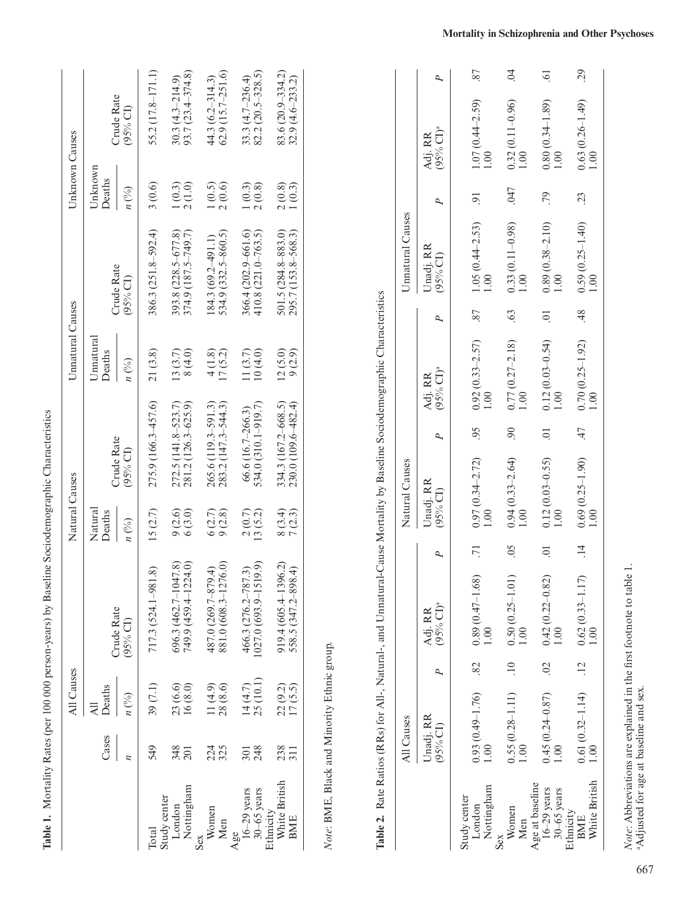|                                          |                         | All Causes           |                                                 | Natural Causes               |                                               | Unnatural Causes                      |                                               | Unknown Causes                          |                                             |
|------------------------------------------|-------------------------|----------------------|-------------------------------------------------|------------------------------|-----------------------------------------------|---------------------------------------|-----------------------------------------------|-----------------------------------------|---------------------------------------------|
|                                          | Cases                   | Deaths<br>$n$ (%)    | Crude Rate<br>(95% CI)                          | Natural<br>Deaths<br>$n$ (%) | Crude Rate<br>$(95%$ CI)                      | Umatural<br>Deaths<br>$n\binom{0}{0}$ | Crude Rate<br>$(95%$ CI)                      | Unknown<br>Deaths<br>$n$ $\binom{0}{0}$ | Crude Rate<br>(95% CI)                      |
| <b>lotal</b>                             | 549                     | 39 (7.1)             | 717.3 (524.1-981.8)                             | 15(2.7)                      | 275.9 (166.3-457.6)                           | 21(3.8)                               | 386.3 (251.8–592.4)                           | 3(0.6)                                  | 55.2 (17.8-171.1)                           |
| Nottingham<br>Study center<br>London     | 348<br>$\overline{201}$ | 23 (6.6)<br>16(8.0)  | 749.9 (459.4–1224.0)<br>$696.3(462.7 - 1047.8)$ | 9(2.6)<br>6(3.0)             | 272.5 (141.8-523.7)<br>281.2 (126.3-625.9)    | 13(3.7)<br>8(4.0)                     | 393.8 (228.5-677.8)<br>374.9 (187.5-749.7)    | 2(1.0)<br>1(0.3)                        | $93.7(23.4 - 374.8)$<br>$30.3(4.3 - 214.9)$ |
| Women<br>Men<br>Sex                      | 224<br>325              | 28(8.6)<br>(4.9)     | 881.0 (608.3-1276.0)<br>487.0 (269.7–879.4)     | 6(2.7)<br>9(2.8)             | 265.6 (119.3-591.3)<br>$283.2(147.3 - 544.3)$ | 17(5.2)<br>$\frac{1}{2}$              | 534.9 (332.5-860.5)<br>$(84.3(69.2-491.1)$    | 2(0.6)<br>1(0.5)                        | $62.9(15.7-251.6)$<br>$44.3(6.2 - 314.3)$   |
| $16-29$ years<br>$30-65$ years<br>Age    | 248<br>301              | 25 (10.1)<br>14(4.7) | $027.0(693.9 - 1519.9)$<br>466.3 (276.2-787.3)  | 2(0.7)<br>13(5.2)            | 534.0 (310.1–919.7)<br>$66.6(16.7-266.3)$     | 11(3.7)<br>10(4.0)                    | 366.4 (202.9-661.6)<br>$410.8(221.0 - 763.5)$ | 1(0.3)<br>2(0.8)                        | $82.2(20.5 - 328.5)$<br>33.3 $(4.7-236.4)$  |
| White British<br>Ethnicity<br><b>BME</b> | 238<br>$\overline{311}$ | 17(5.5)<br>22(9.2)   | 919.4 (605.4-1396.2)<br>558.5 (347.2-898.4)     | 8(3.4)<br>7(2.3)             | 334.3 (167.2–668.5)<br>230.0 (109.6–482.4)    | 12(5.0)<br>9(2.9)                     | 501.5 (284.8-883.0)<br>295.7 (153.8–568.3)    | 1(0.3)<br>2(0.8)                        | $83.6(20.9 - 334.2)$<br>$32.9(4.6-233.2)$   |
|                                          |                         |                      |                                                 |                              |                                               |                                       |                                               |                                         |                                             |

Table 1. Mortality Rates (per 100 000 person-years) by Baseline Sociodemographic Characteristics

Mortality Rates (per 100 000 person-years) by Baseline Sociodemographic Characteristics

<span id="page-3-1"></span>*Note*: BME, Black and Minority Ethnic group.

<span id="page-3-0"></span>Note: BME, Black and Minority Ethnic group.

|                                                   | All Causes                  |                                              |                           | Natural Causes              |                |                                |                          | Unnatural Causes               |                |                             |                |
|---------------------------------------------------|-----------------------------|----------------------------------------------|---------------------------|-----------------------------|----------------|--------------------------------|--------------------------|--------------------------------|----------------|-----------------------------|----------------|
|                                                   | Unadj. RR<br>$(95%$ CI)     | $(95%$ CI) <sup>a</sup><br>Adj. RR           |                           | Unadj. RR<br>(95% CI)       |                | $(95% CI)^a$<br>Adj. RR        |                          | Unadj. RR<br>$(95%$ CI)        |                | $(95% CI)^a$<br>Adj. RR     | P              |
| Nottingham<br>Study center<br>London              | $0.93(0.49 - 1.76)$<br>1.00 | $.82 \qquad 0.89 \ (0.47 - 1.68)$<br>$\odot$ | $\overline{7}$            | $0.97(0.34 - 2.72)$<br>1.00 | 66             | $0.92(0.33 - 2.57)$<br>1.00    | 87                       | $1.05(0.44 - 2.53)$<br>1.00    | $\overline{0}$ | $1.07(0.44 - 2.59)$<br>1.00 | 87             |
| Women<br>Men<br>Sex                               | $0.55(0.28 - 1.11)$<br>1.00 | $.10$ 0.50 (0.25-1.01)<br>$\odot$            | $\widetilde{\mathcal{L}}$ | $0.94(0.33 - 2.64)$<br>1.00 | 90             | $0.77(0.27 - 2.18)$<br>1.00    | .63                      | $0.33(0.11 - 0.98)$<br>1.00    | .047           | $0.32(0.11 - 0.96)$<br>1.00 | S.             |
| Age at baseline<br>$16-29$ years<br>$30-65$ years | $0.45(0.24 - 0.87)$<br>1.00 | $0.02$ $0.42$ $(0.22 - 0.82)$<br>00          | $\overline{C}$            | $0.12(0.03 - 0.55)$<br>1.00 | $\overline{0}$ | $0.12(0.03-0.54)$<br>1.00      | $\overline{\phantom{0}}$ | $\frac{0.89(0.38-2.10)}{1.00}$ | .79            | $0.80(0.34 - 1.89)$<br>1.00 | $\ddot{\circ}$ |
| White British<br>Ethnicity<br><b>BME</b>          | $0.61(0.32 - 1.14)$<br>1.00 | $.12 \qquad 0.62 \ (0.33 - 1.17)$<br>00.1    | $\frac{4}{1}$             | $0.69(0.25-1.90)$<br>1.00   |                | $.47$ 0.70 (0.25-1.92)<br>1.00 |                          | $-325 - 1.40$<br>1.00<br>1.00  | $\ddot{c}$     | $0.63(0.26-1.49)$<br>1.00   | 29             |

Note: Abbreviations are explained in the first footnote to table 1. <br>  $\,$  adjusted for age at baseline and sex. <sup>a</sup>Adjusted for age at baseline and sex.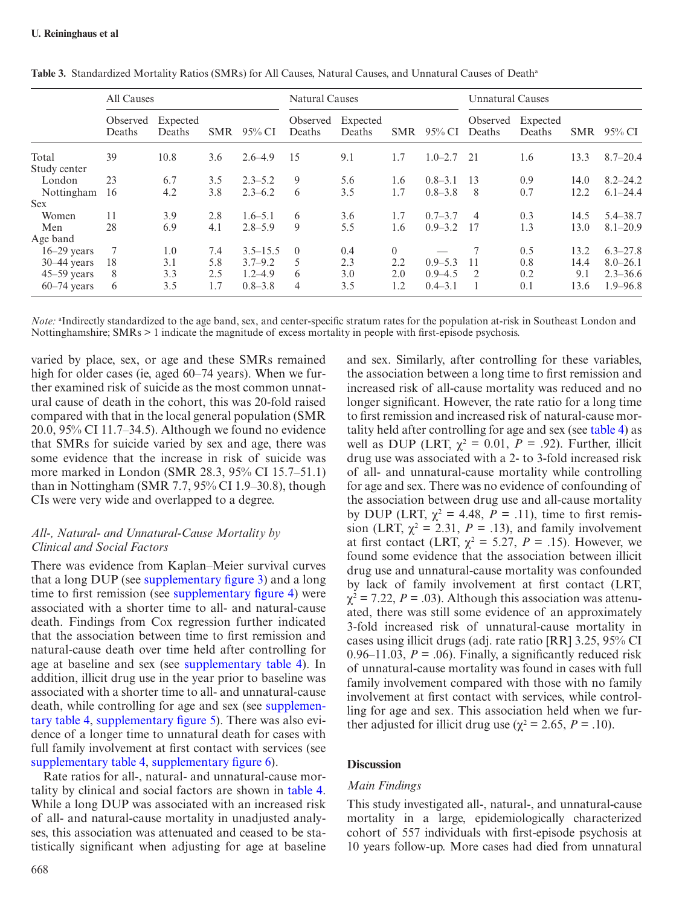|                 | All Causes         |                    |            |              | <b>Natural Causes</b> |                    |            |                | <b>Unnatural Causes</b> |                    |            |              |
|-----------------|--------------------|--------------------|------------|--------------|-----------------------|--------------------|------------|----------------|-------------------------|--------------------|------------|--------------|
|                 | Observed<br>Deaths | Expected<br>Deaths | <b>SMR</b> | 95% CI       | Observed<br>Deaths    | Expected<br>Deaths | <b>SMR</b> | 95% CI         | Observed<br>Deaths      | Expected<br>Deaths | <b>SMR</b> | $95\%$ CI    |
| Total           | 39                 | 10.8               | 3.6        | $2.6 - 4.9$  | 15                    | 9.1                | 1.7        | $1.0 - 2.7$ 21 |                         | 1.6                | 13.3       | $8.7 - 20.4$ |
| Study center    |                    |                    |            |              |                       |                    |            |                |                         |                    |            |              |
| London          | 23                 | 6.7                | 3.5        | $2.3 - 5.2$  | 9                     | 5.6                | 1.6        | $0.8 - 3.1$    | -13                     | 0.9                | 14.0       | $8.2 - 24.2$ |
| Nottingham      | 16                 | 4.2                | 3.8        | $2.3 - 6.2$  | 6                     | 3.5                | 1.7        | $0.8 - 3.8$    | 8                       | 0.7                | 12.2       | $6.1 - 24.4$ |
| <b>Sex</b>      |                    |                    |            |              |                       |                    |            |                |                         |                    |            |              |
| Women           | 11                 | 3.9                | 2.8        | $1.6 - 5.1$  | 6                     | 3.6                | 1.7        | $0.7 - 3.7$    | 4                       | 0.3                | 14.5       | $5.4 - 38.7$ |
| Men             | 28                 | 6.9                | 4.1        | $2.8 - 5.9$  | 9                     | 5.5                | 1.6        | $0.9 - 3.2$    | 17                      | 1.3                | 13.0       | $8.1 - 20.9$ |
| Age band        |                    |                    |            |              |                       |                    |            |                |                         |                    |            |              |
| $16-29$ years   | $\overline{7}$     | 1.0                | 7.4        | $3.5 - 15.5$ | $\Omega$              | 0.4                | $\theta$   |                |                         | 0.5                | 13.2       | $6.3 - 27.8$ |
| $30-44$ years   | 18                 | 3.1                | 5.8        | $3.7 - 9.2$  | 5                     | 2.3                | 2.2        | $0.9 - 5.3$    | 11                      | 0.8                | 14.4       | $8.0 - 26.1$ |
| $45 - 59$ years | 8                  | 3.3                | 2.5        | $1.2 - 4.9$  | 6                     | 3.0                | 2.0        | $0.9 - 4.5$    | $\mathcal{L}$           | 0.2                | 9.1        | $2.3 - 36.6$ |
| $60-74$ years   | 6                  | 3.5                | 1.7        | $0.8 - 3.8$  | 4                     | 3.5                | 1.2        | $0.4 - 3.1$    |                         | 0.1                | 13.6       | $1.9 - 96.8$ |

<span id="page-4-0"></span>Table 3. Standardized Mortality Ratios (SMRs) for All Causes, Natural Causes, and Unnatural Causes of Death<sup>a</sup>

*Note:* <sup>a</sup>Indirectly standardized to the age band, sex, and center-specific stratum rates for the population at-risk in Southeast London and Nottinghamshire; SMRs > 1 indicate the magnitude of excess mortality in people with first-episode psychosis.

varied by place, sex, or age and these SMRs remained high for older cases (ie, aged 60–74 years). When we further examined risk of suicide as the most common unnatural cause of death in the cohort, this was 20-fold raised compared with that in the local general population (SMR 20.0, 95% CI 11.7–34.5). Although we found no evidence that SMRs for suicide varied by sex and age, there was some evidence that the increase in risk of suicide was more marked in London (SMR 28.3, 95% CI 15.7–51.1) than in Nottingham (SMR 7.7, 95% CI 1.9–30.8), though CIs were very wide and overlapped to a degree.

## *All-, Natural- and Unnatural-Cause Mortality by Clinical and Social Factors*

There was evidence from Kaplan–Meier survival curves that a long DUP (see [supplementary figure 3](http://schizophreniabulletin.oxfordjournals.org/lookup/suppl/doi:10.1093/schbul/sbu138/-/DC1)) and a long time to first remission (see [supplementary figure 4](http://schizophreniabulletin.oxfordjournals.org/lookup/suppl/doi:10.1093/schbul/sbu138/-/DC1)) were associated with a shorter time to all- and natural-cause death. Findings from Cox regression further indicated that the association between time to first remission and natural-cause death over time held after controlling for age at baseline and sex (see [supplementary table 4](http://schizophreniabulletin.oxfordjournals.org/lookup/suppl/doi:10.1093/schbul/sbu138/-/DC1)). In addition, illicit drug use in the year prior to baseline was associated with a shorter time to all- and unnatural-cause death, while controlling for age and sex (see [supplemen](http://schizophreniabulletin.oxfordjournals.org/lookup/suppl/doi:10.1093/schbul/sbu138/-/DC1)[tary table 4, supplementary figure 5\)](http://schizophreniabulletin.oxfordjournals.org/lookup/suppl/doi:10.1093/schbul/sbu138/-/DC1). There was also evidence of a longer time to unnatural death for cases with full family involvement at first contact with services (see [supplementary table 4](http://schizophreniabulletin.oxfordjournals.org/lookup/suppl/doi:10.1093/schbul/sbu138/-/DC1), [supplementary figure 6\)](http://schizophreniabulletin.oxfordjournals.org/lookup/suppl/doi:10.1093/schbul/sbu138/-/DC1).

Rate ratios for all-, natural- and unnatural-cause mortality by clinical and social factors are shown in [table 4.](#page-5-0) While a long DUP was associated with an increased risk of all- and natural-cause mortality in unadjusted analyses, this association was attenuated and ceased to be statistically significant when adjusting for age at baseline

668

and sex. Similarly, after controlling for these variables, the association between a long time to first remission and increased risk of all-cause mortality was reduced and no longer significant. However, the rate ratio for a long time to first remission and increased risk of natural-cause mortality held after controlling for age and sex (see [table 4](#page-5-0)) as well as DUP (LRT,  $\chi^2 = 0.01$ ,  $P = .92$ ). Further, illicit drug use was associated with a 2- to 3-fold increased risk of all- and unnatural-cause mortality while controlling for age and sex. There was no evidence of confounding of the association between drug use and all-cause mortality by DUP (LRT,  $\chi^2 = 4.48$ ,  $P = .11$ ), time to first remission (LRT,  $\chi^2 = 2.31$ ,  $P = .13$ ), and family involvement at first contact (LRT,  $\chi^2 = 5.27$ ,  $P = .15$ ). However, we found some evidence that the association between illicit drug use and unnatural-cause mortality was confounded by lack of family involvement at first contact (LRT,  $\chi^2$  = 7.22, *P* = .03). Although this association was attenuated, there was still some evidence of an approximately 3-fold increased risk of unnatural-cause mortality in cases using illicit drugs (adj. rate ratio [RR] 3.25, 95% CI 0.96–11.03,  $P = .06$ ). Finally, a significantly reduced risk of unnatural-cause mortality was found in cases with full family involvement compared with those with no family involvement at first contact with services, while controlling for age and sex. This association held when we further adjusted for illicit drug use ( $\chi^2$  = 2.65, *P* = .10).

## **Discussion**

### *Main Findings*

This study investigated all-, natural-, and unnatural-cause mortality in a large, epidemiologically characterized cohort of 557 individuals with first-episode psychosis at 10 years follow-up. More cases had died from unnatural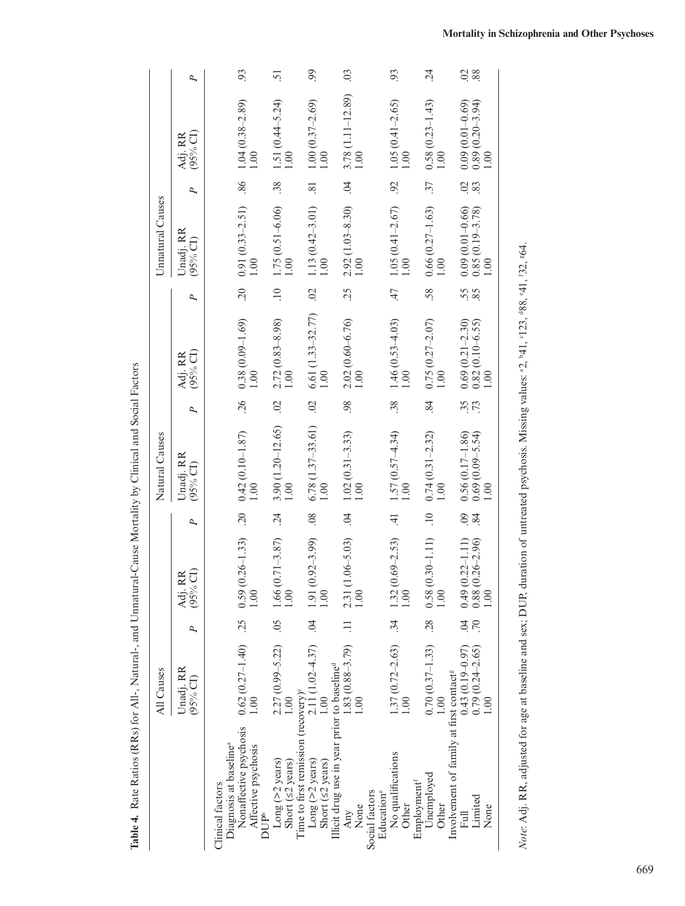|                                                                                                                         | All Causes                                        |                        |                                                               |                      | Natural Causes                                                |                      |                                                             |                | Unnatural Causes                                                              |                |                                                                           |                 |
|-------------------------------------------------------------------------------------------------------------------------|---------------------------------------------------|------------------------|---------------------------------------------------------------|----------------------|---------------------------------------------------------------|----------------------|-------------------------------------------------------------|----------------|-------------------------------------------------------------------------------|----------------|---------------------------------------------------------------------------|-----------------|
|                                                                                                                         | Unadj. RR<br>$(95%$ CI)                           |                        | (95% CI)<br>Adj. RR                                           |                      | Unadj. RR<br>$(95%$ CI)                                       |                      | (95% CI)<br>Adj. RR                                         |                | Unadj. RR<br>$(95%$ CI)                                                       | P              | $(95%$ CI)<br>Adj. RR                                                     | P               |
| Diagnosis at baseline <sup>a</sup><br>Clinical factors                                                                  |                                                   |                        |                                                               |                      |                                                               |                      |                                                             |                |                                                                               |                |                                                                           |                 |
| Nonaffective psychosis<br>Affective psychosis<br>DUP <sup>b</sup>                                                       | $0.62(0.27-1.40)$ $.25$ $0.59(0.26-1.33)$<br>1.00 |                        | $\sum$                                                        | .20                  | $\begin{array}{c} 0.42~(0.10-1.87) \\ 1.00 \end{array}$       | .26                  | $\begin{array}{c} 0.38 \ (0.09-1.69) \\ 1.00 \end{array}$   | $^{20}$        | $0.91(0.33 - 2.51)$                                                           | 98.            | $1.04(0.38-2.89)$<br>$1.00$                                               | 93              |
| Long $($ >2 years)<br>Short $(52 \text{ years})$                                                                        | $2.27(0.99 - 5.22)$ .05<br>1.00                   |                        | $1.66(0.71-3.87)$<br>$1.00$                                   | $\ddot{c}$           | $3.90(1.20-12.65)$<br>1.00                                    | $\ddot{\circ}$       | $2.72(0.83 - 8.98)$<br>1.00                                 | $\frac{1}{10}$ | $1.75(0.51-6.06)$<br>1.00                                                     | .38            | $1.51(0.44 - 5.24)$<br>$1.00$                                             | $\overline{51}$ |
| Time to first remission (recovery) <sup>c</sup><br>Long ( $>2$ years)<br>Short $(52 \text{ years})$                     | $2.11(1.02 - 4.37)$ .04<br>1.00                   |                        | $(0.92 - 3.99)$<br>1.91<br>$\widetilde{\mathrm{S}}$           | $80$ .               | $6.78(1.37-33.61)$                                            | $\overline{0}$ .     | $6.61(1.33 - 32.77)$                                        | $\overline{0}$ | $1.13(0.42 - 3.01)$                                                           | $\overline{8}$ | $1.00(0.37-2.69)$                                                         | 99              |
| Illicit drug use in year prior to baseline <sup>d</sup><br>Any $\frac{1.83(0.88-3.79)}{1.83}$<br>Social factors<br>None | 1.00                                              | $\equiv$               | $(1.06 - 5.03)$<br>2.31<br>$\sum$                             | $\ddot{q}$           | $1.02(0.31-3.33)$<br>1.00                                     | 98.                  | $2.02(0.60 - 6.76)$<br>1.00                                 | 25             | $2.92(1.03 - 8.30)$<br>1.00                                                   | $\ddot{5}$     | $3.78(1.11 - 12.89)$<br>$\approx$                                         | 03              |
| No qualifications<br>Education®<br>Other                                                                                | $1.37(0.72-2.63)$ .34<br>1.00                     |                        | $1.32(0.69-2.53)$<br>1.00                                     | $\vec{=}$            | $1.57(0.57 - 4.34)$<br>$1.00$                                 | .38                  | $1.46(0.53 - 4.03)$                                         | 47             | $1.05(0.41 - 2.67)$                                                           | 92             | $1.05(0.41 - 2.65)$<br>$\frac{8}{1}$                                      | 93              |
| Unemployed<br>Employment <sup>f</sup><br><b>Other</b>                                                                   | $0.70(0.37 - 1.33)$<br>1.00                       |                        | $.28$ 0.58 $(0.30-1.11)$<br>$\widetilde{\mathcal{S}}$         | $\frac{10}{1}$       | $\begin{array}{c} 0.74 & (0.31 - 2.32) \\ 1.00 & \end{array}$ | $\ddot{\phantom{0}}$ | $\begin{array}{c} 0.75 \ (0.27 - 2.07) \\ 1.00 \end{array}$ | .58            | $\frac{0.66}{1.00}$ (0.27-1.63)                                               | $\ddot{37}$    | $\begin{array}{c} 0.58 \ (0.23 - 1.43) \\ 1.00 \end{array}$               | $\ddot{5}$      |
| Involvement of family at first contact <sup>g</sup><br>Full $10.43(0.19-0.97)$<br>Limited<br>None                       | $0.79$ $(0.24-2.65)$<br>1.00                      | $\widetilde{S}$<br>.70 | $0.49(0.22 - 1.11)$<br>$0.88(0.26 - 2.96)$<br>00 <sub>1</sub> | $\overline{0}$<br>84 | $0.56(0.17-1.86)$<br>$0.69(0.09-5.54)$<br>$1.00$              | .73                  | $0.69(0.21 - 2.30)$<br>$0.82(0.10-6.55)$<br>1.00            | $55$<br>35     | $0.09(0.01 - 0.66)$<br>$\begin{array}{c} 0.85(0.19-3.78) \\ 1.00 \end{array}$ | $\frac{2}{8}$  | $\begin{array}{c} 0.09(0.01-0.69) \\ 0.89(0.20-3.94) \\ 1.00 \end{array}$ | $\frac{28}{28}$ |

<span id="page-5-0"></span>Table 4. Rate Ratios (RRs) for All-, Natural-, and Unnatural-Cause Mortality by Clinical and Social Factors **Table 4.** Rate Ratios (RRs) for All-, Natural-, and Unnatural-Cause Mortality by Clinical and Social Factors

Note: Adj. RR, adjusted for age at baseline and sex; DUP, duration of untreated psychosis. Missing values: <sup>a</sup>2, <sup>b</sup>41, <sup>c</sup>123, <sup>488</sup>, <sup>c</sup>41, <sup>132, 864.</sup> *Note:* Adj. RR, adjusted for age at baseline and sex; DUP, duration of untreated psychosis. Missing values: <sup>a2, b4</sup>1, c123, <sup>48</sup>8, e41, <sup>c</sup>32, <sup>g</sup>64.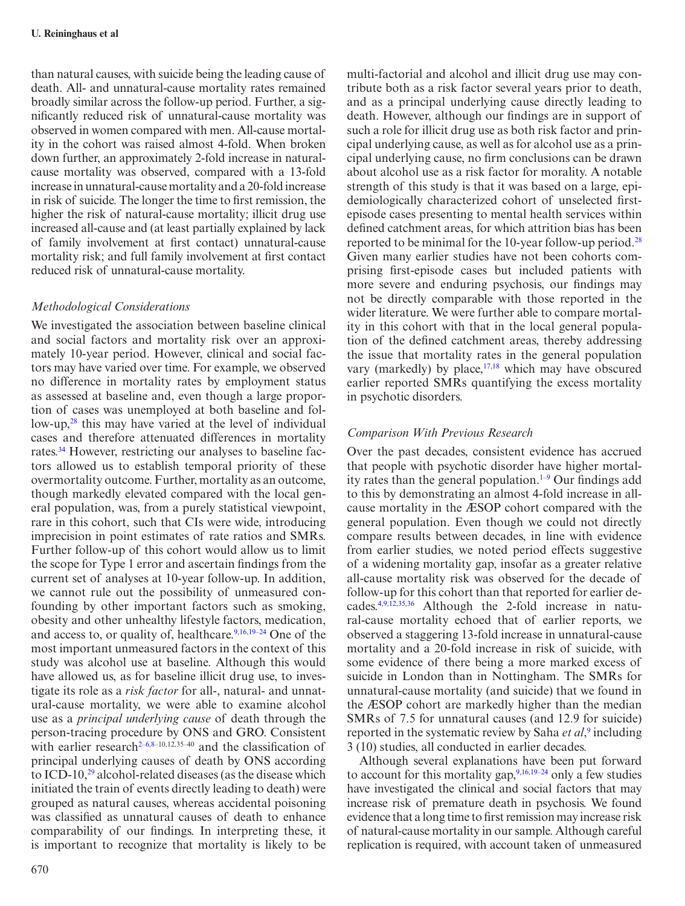than natural causes, with suicide being the leading cause of death. All- and unnatural-cause mortality rates remained broadly similar across the follow-up period. Further, a significantly reduced risk of unnatural-cause mortality was observed in women compared with men. All-cause mortality in the cohort was raised almost 4-fold. When broken down further, an approximately 2-fold increase in naturalcause mortality was observed, compared with a 13-fold increase in unnatural-cause mortality and a 20-fold increase in risk of suicide. The longer the time to first remission, the higher the risk of natural-cause mortality; illicit drug use increased all-cause and (at least partially explained by lack of family involvement at first contact) unnatural-cause mortality risk; and full family involvement at first contact reduced risk of unnatural-cause mortality.

## *Methodological Considerations*

We investigated the association between baseline clinical and social factors and mortality risk over an approximately 10-year period. However, clinical and social factors may have varied over time. For example, we observed no difference in mortality rates by employment status as assessed at baseline and, even though a large proportion of cases was unemployed at both baseline and follow-up,[28](#page-9-1) this may have varied at the level of individual cases and therefore attenuated differences in mortality rates.[34](#page-9-7) However, restricting our analyses to baseline factors allowed us to establish temporal priority of these overmortality outcome. Further, mortality as an outcome, though markedly elevated compared with the local general population, was, from a purely statistical viewpoint, rare in this cohort, such that CIs were wide, introducing imprecision in point estimates of rate ratios and SMRs. Further follow-up of this cohort would allow us to limit the scope for Type 1 error and ascertain findings from the current set of analyses at 10-year follow-up. In addition, we cannot rule out the possibility of unmeasured confounding by other important factors such as smoking, obesity and other unhealthy lifestyle factors, medication, and access to, or quality of, healthcare.<sup>[9,](#page-8-4)[16](#page-8-10),19–24</sup> One of the most important unmeasured factors in the context of this study was alcohol use at baseline. Although this would have allowed us, as for baseline illicit drug use, to investigate its role as a *risk factor* for all-, natural- and unnatural-cause mortality, we were able to examine alcohol use as a *principal underlying cause* of death through the person-tracing procedure by ONS and GRO. Consistent with earlier research<sup>2-6[,8](#page-8-14)-10,12,35-40</sup> and the classification of principal underlying causes of death by ONS according to ICD-10,<sup>29</sup> alcohol-related diseases (as the disease which initiated the train of events directly leading to death) were grouped as natural causes, whereas accidental poisoning was classified as unnatural causes of death to enhance comparability of our findings. In interpreting these, it is important to recognize that mortality is likely to be

multi-factorial and alcohol and illicit drug use may contribute both as a risk factor several years prior to death, and as a principal underlying cause directly leading to death. However, although our findings are in support of such a role for illicit drug use as both risk factor and principal underlying cause, as well as for alcohol use as a principal underlying cause, no firm conclusions can be drawn about alcohol use as a risk factor for morality. A notable strength of this study is that it was based on a large, epidemiologically characterized cohort of unselected firstepisode cases presenting to mental health services within defined catchment areas, for which attrition bias has been reported to be minimal for the 10-year follow-up period[.28](#page-9-1) Given many earlier studies have not been cohorts comprising first-episode cases but included patients with more severe and enduring psychosis, our findings may not be directly comparable with those reported in the wider literature. We were further able to compare mortality in this cohort with that in the local general population of the defined catchment areas, thereby addressing the issue that mortality rates in the general population vary (markedly) by place,  $17,18$  $17,18$  which may have obscured earlier reported SMRs quantifying the excess mortality in psychotic disorders.

# *Comparison With Previous Research*

Over the past decades, consistent evidence has accrued that people with psychotic disorder have higher mortality rates than the general population[.1–9](#page-8-0) Our findings add to this by demonstrating an almost 4-fold increase in allcause mortality in the ӔSOP cohort compared with the general population. Even though we could not directly compare results between decades, in line with evidence from earlier studies, we noted period effects suggestive of a widening mortality gap, insofar as a greater relative all-cause mortality risk was observed for the decade of follow-up for this cohort than that reported for earlier decades.[4](#page-8-2),[9](#page-8-4)[,12,](#page-8-5)[35](#page-9-8),[36](#page-9-9) Although the 2-fold increase in natural-cause mortality echoed that of earlier reports, we observed a staggering 13-fold increase in unnatural-cause mortality and a 20-fold increase in risk of suicide, with some evidence of there being a more marked excess of suicide in London than in Nottingham. The SMRs for unnatural-cause mortality (and suicide) that we found in the ӔSOP cohort are markedly higher than the median SMRs of 7.5 for unnatural causes (and 12.9 for suicide) reported in the systematic review by Saha *et al*,<sup>[9](#page-8-4)</sup> including 3 (10) studies, all conducted in earlier decades.

Although several explanations have been put forward to account for this mortality gap, $9,16,19-24$  $9,16,19-24$  $9,16,19-24$  only a few studies have investigated the clinical and social factors that may increase risk of premature death in psychosis. We found evidence that a long time to first remission may increase risk of natural-cause mortality in our sample. Although careful replication is required, with account taken of unmeasured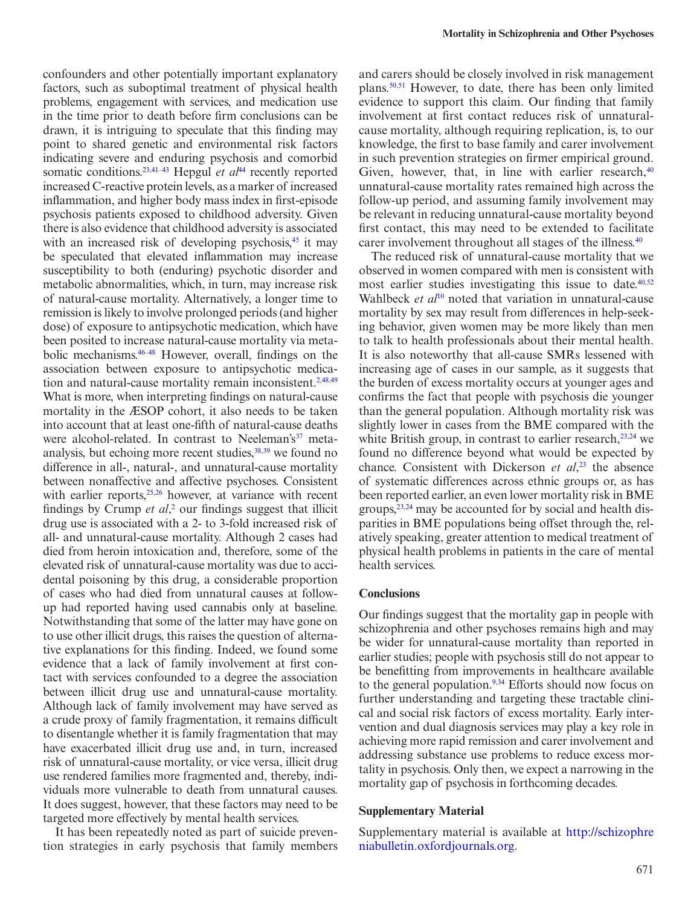confounders and other potentially important explanatory factors, such as suboptimal treatment of physical health problems, engagement with services, and medication use in the time prior to death before firm conclusions can be drawn, it is intriguing to speculate that this finding may point to shared genetic and environmental risk factors indicating severe and enduring psychosis and comorbid somatic conditions.<sup>[23](#page-8-15)[,41–43](#page-9-10)</sup> Hepgul *et al*<sup>44</sup> recently reported increased C-reactive protein levels, as a marker of increased inflammation, and higher body mass index in first-episode psychosis patients exposed to childhood adversity. Given there is also evidence that childhood adversity is associated with an increased risk of developing psychosis, $45$  it may be speculated that elevated inflammation may increase susceptibility to both (enduring) psychotic disorder and metabolic abnormalities, which, in turn, may increase risk of natural-cause mortality. Alternatively, a longer time to remission is likely to involve prolonged periods (and higher dose) of exposure to antipsychotic medication, which have been posited to increase natural-cause mortality via metabolic mechanisms[.46–48](#page-9-13) However, overall, findings on the association between exposure to antipsychotic medica-tion and natural-cause mortality remain inconsistent.<sup>2[,48,](#page-9-14)[49](#page-9-15)</sup> What is more, when interpreting findings on natural-cause mortality in the ӔSOP cohort, it also needs to be taken into account that at least one-fifth of natural-cause deaths were alcohol-related. In contrast to Neeleman's<sup>37</sup> meta-analysis, but echoing more recent studies, 38,[39](#page-9-18) we found no difference in all-, natural-, and unnatural-cause mortality between nonaffective and affective psychoses. Consistent with earlier reports,<sup>25,26</sup> however, at variance with recent findings by Crump *et al*,<sup>[2](#page-8-6)</sup> our findings suggest that illicit drug use is associated with a 2- to 3-fold increased risk of all- and unnatural-cause mortality. Although 2 cases had died from heroin intoxication and, therefore, some of the elevated risk of unnatural-cause mortality was due to accidental poisoning by this drug, a considerable proportion of cases who had died from unnatural causes at followup had reported having used cannabis only at baseline. Notwithstanding that some of the latter may have gone on to use other illicit drugs, this raises the question of alternative explanations for this finding. Indeed, we found some evidence that a lack of family involvement at first contact with services confounded to a degree the association between illicit drug use and unnatural-cause mortality. Although lack of family involvement may have served as a crude proxy of family fragmentation, it remains difficult to disentangle whether it is family fragmentation that may have exacerbated illicit drug use and, in turn, increased risk of unnatural-cause mortality, or vice versa, illicit drug use rendered families more fragmented and, thereby, individuals more vulnerable to death from unnatural causes. It does suggest, however, that these factors may need to be targeted more effectively by mental health services.

It has been repeatedly noted as part of suicide prevention strategies in early psychosis that family members and carers should be closely involved in risk management plans.[50](#page-9-19)[,51](#page-9-20) However, to date, there has been only limited evidence to support this claim. Our finding that family involvement at first contact reduces risk of unnaturalcause mortality, although requiring replication, is, to our knowledge, the first to base family and carer involvement in such prevention strategies on firmer empirical ground. Given, however, that, in line with earlier research, $40$ unnatural-cause mortality rates remained high across the follow-up period, and assuming family involvement may be relevant in reducing unnatural-cause mortality beyond first contact, this may need to be extended to facilitate carer involvement throughout all stages of the illness.<sup>[40](#page-9-21)</sup>

The reduced risk of unnatural-cause mortality that we observed in women compared with men is consistent with most earlier studies investigating this issue to date. $40,52$  $40,52$ Wahlbeck *et al*<sup>10</sup> noted that variation in unnatural-cause mortality by sex may result from differences in help-seeking behavior, given women may be more likely than men to talk to health professionals about their mental health. It is also noteworthy that all-cause SMRs lessened with increasing age of cases in our sample, as it suggests that the burden of excess mortality occurs at younger ages and confirms the fact that people with psychosis die younger than the general population. Although mortality risk was slightly lower in cases from the BME compared with the white British group, in contrast to earlier research, $^{23,24}$  we found no difference beyond what would be expected by chance. Consistent with Dickerson *et al*, [23](#page-8-15) the absence of systematic differences across ethnic groups or, as has been reported earlier, an even lower mortality risk in BME groups[,23](#page-8-15),[24](#page-8-17) may be accounted for by social and health disparities in BME populations being offset through the, relatively speaking, greater attention to medical treatment of physical health problems in patients in the care of mental health services.

### **Conclusions**

Our findings suggest that the mortality gap in people with schizophrenia and other psychoses remains high and may be wider for unnatural-cause mortality than reported in earlier studies; people with psychosis still do not appear to be benefitting from improvements in healthcare available to the general population.<sup>[9,](#page-8-4)[34](#page-9-7)</sup> Efforts should now focus on further understanding and targeting these tractable clinical and social risk factors of excess mortality. Early intervention and dual diagnosis services may play a key role in achieving more rapid remission and carer involvement and addressing substance use problems to reduce excess mortality in psychosis. Only then, we expect a narrowing in the mortality gap of psychosis in forthcoming decades.

#### **Supplementary Material**

Supplementary material is available at [http://schizophre](http://schizophreniabulletin.oxfordjournals.org/lookup/suppl/doi:10.1093/schbul/sbu138/-/DC1)  [niabulletin.oxfordjournals.org](http://schizophreniabulletin.oxfordjournals.org/lookup/suppl/doi:10.1093/schbul/sbu138/-/DC1).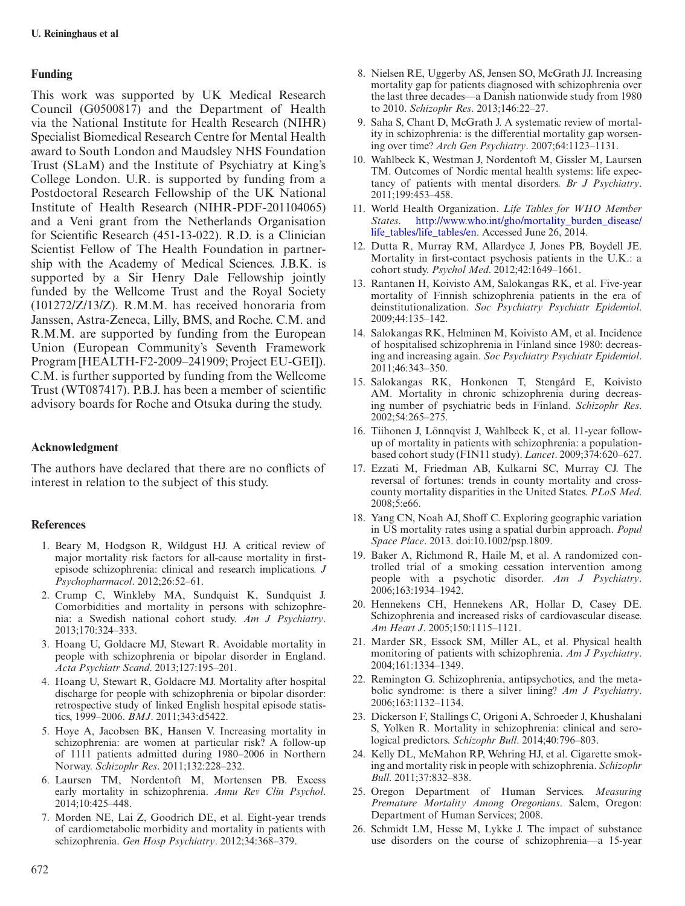# **Funding**

This work was supported by UK Medical Research Council (G0500817) and the Department of Health via the National Institute for Health Research (NIHR) Specialist Biomedical Research Centre for Mental Health award to South London and Maudsley NHS Foundation Trust (SLaM) and the Institute of Psychiatry at King's College London. U.R. is supported by funding from a Postdoctoral Research Fellowship of the UK National Institute of Health Research (NIHR-PDF-201104065) and a Veni grant from the Netherlands Organisation for Scientific Research (451-13-022). R.D. is a Clinician Scientist Fellow of The Health Foundation in partnership with the Academy of Medical Sciences. J.B.K. is supported by a Sir Henry Dale Fellowship jointly funded by the Wellcome Trust and the Royal Society (101272/Z/13/Z). R.M.M. has received honoraria from Janssen, Astra-Zeneca, Lilly, BMS, and Roche. C.M. and R.M.M. are supported by funding from the European Union (European Community's Seventh Framework Program [HEALTH-F2-2009–241909; Project EU-GEI]). C.M. is further supported by funding from the Wellcome Trust (WT087417). P.B.J. has been a member of scientific advisory boards for Roche and Otsuka during the study.

# **Acknowledgment**

The authors have declared that there are no conflicts of interest in relation to the subject of this study.

## **References**

- <span id="page-8-0"></span>1. Beary M, Hodgson R, Wildgust HJ. A critical review of major mortality risk factors for all-cause mortality in firstepisode schizophrenia: clinical and research implications. *J Psychopharmacol*. 2012;26:52–61.
- <span id="page-8-6"></span>2. Crump C, Winkleby MA, Sundquist K, Sundquist J. Comorbidities and mortality in persons with schizophrenia: a Swedish national cohort study. *Am J Psychiatry*. 2013;170:324–333.
- 3. Hoang U, Goldacre MJ, Stewart R. Avoidable mortality in people with schizophrenia or bipolar disorder in England. *Acta Psychiatr Scand*. 2013;127:195–201.
- <span id="page-8-2"></span>4. Hoang U, Stewart R, Goldacre MJ. Mortality after hospital discharge for people with schizophrenia or bipolar disorder: retrospective study of linked English hospital episode statistics, 1999–2006. *BMJ*. 2011;343:d5422.
- <span id="page-8-3"></span>5. Hoye A, Jacobsen BK, Hansen V. Increasing mortality in schizophrenia: are women at particular risk? A follow-up of 1111 patients admitted during 1980–2006 in Northern Norway. *Schizophr Res*. 2011;132:228–232.
- 6. Laursen TM, Nordentoft M, Mortensen PB. Excess early mortality in schizophrenia. *Annu Rev Clin Psychol*. 2014;10:425–448.
- <span id="page-8-7"></span>7. Morden NE, Lai Z, Goodrich DE, et al. Eight-year trends of cardiometabolic morbidity and mortality in patients with schizophrenia. *Gen Hosp Psychiatry*. 2012;34:368–379.
- <span id="page-8-14"></span>8. Nielsen RE, Uggerby AS, Jensen SO, McGrath JJ. Increasing mortality gap for patients diagnosed with schizophrenia over the last three decades—a Danish nationwide study from 1980 to 2010. *Schizophr Res*. 2013;146:22–27.
- <span id="page-8-4"></span>9. Saha S, Chant D, McGrath J. A systematic review of mortality in schizophrenia: is the differential mortality gap worsening over time? *Arch Gen Psychiatry*. 2007;64:1123–1131.
- <span id="page-8-16"></span>10. Wahlbeck K, Westman J, Nordentoft M, Gissler M, Laursen TM. Outcomes of Nordic mental health systems: life expectancy of patients with mental disorders. *Br J Psychiatry*. 2011;199:453–458.
- <span id="page-8-1"></span>11. World Health Organization. *Life Tables for WHO Member States*. [http://www.who.int/gho/mortality\\_burden\\_disease/](http://www.who.int/gho/mortality_burden_disease/life_tables/life_tables/en) [life\\_tables/life\\_tables/en](http://www.who.int/gho/mortality_burden_disease/life_tables/life_tables/en). Accessed June 26, 2014.
- <span id="page-8-5"></span>12. Dutta R, Murray RM, Allardyce J, Jones PB, Boydell JE. Mortality in first-contact psychosis patients in the U.K.: a cohort study. *Psychol Med*. 2012;42:1649–1661.
- 13. Rantanen H, Koivisto AM, Salokangas RK, et al. Five-year mortality of Finnish schizophrenia patients in the era of deinstitutionalization. *Soc Psychiatry Psychiatr Epidemiol*. 2009;44:135–142.
- 14. Salokangas RK, Helminen M, Koivisto AM, et al. Incidence of hospitalised schizophrenia in Finland since 1980: decreasing and increasing again. *Soc Psychiatry Psychiatr Epidemiol*. 2011;46:343–350.
- 15. Salokangas RK, Honkonen T, Stengård E, Koivisto AM. Mortality in chronic schizophrenia during decreasing number of psychiatric beds in Finland. *Schizophr Res*. 2002;54:265–275.
- <span id="page-8-10"></span>16. Tiihonen J, Lönnqvist J, Wahlbeck K, et al. 11-year followup of mortality in patients with schizophrenia: a populationbased cohort study (FIN11 study). *Lancet*. 2009;374:620–627.
- <span id="page-8-8"></span>17. Ezzati M, Friedman AB, Kulkarni SC, Murray CJ. The reversal of fortunes: trends in county mortality and crosscounty mortality disparities in the United States. *PLoS Med*. 2008;5:e66.
- <span id="page-8-9"></span>18. Yang CN, Noah AJ, Shoff C. Exploring geographic variation in US mortality rates using a spatial durbin approach. *Popul Space Place*. 2013. doi:10.1002/psp.1809.
- <span id="page-8-11"></span>19. Baker A, Richmond R, Haile M, et al. A randomized controlled trial of a smoking cessation intervention among people with a psychotic disorder. *Am J Psychiatry*. 2006;163:1934–1942.
- 20. Hennekens CH, Hennekens AR, Hollar D, Casey DE. Schizophrenia and increased risks of cardiovascular disease. *Am Heart J*. 2005;150:1115–1121.
- 21. Marder SR, Essock SM, Miller AL, et al. Physical health monitoring of patients with schizophrenia. *Am J Psychiatry*. 2004;161:1334–1349.
- 22. Remington G. Schizophrenia, antipsychotics, and the metabolic syndrome: is there a silver lining? *Am J Psychiatry*. 2006;163:1132–1134.
- <span id="page-8-15"></span>23. Dickerson F, Stallings C, Origoni A, Schroeder J, Khushalani S, Yolken R. Mortality in schizophrenia: clinical and serological predictors. *Schizophr Bull*. 2014;40:796–803.
- <span id="page-8-17"></span>24. Kelly DL, McMahon RP, Wehring HJ, et al. Cigarette smoking and mortality risk in people with schizophrenia. *Schizophr Bull*. 2011;37:832–838.
- <span id="page-8-12"></span>25. Oregon Department of Human Services. *Measuring Premature Mortality Among Oregonians*. Salem, Oregon: Department of Human Services; 2008.
- <span id="page-8-13"></span>26. Schmidt LM, Hesse M, Lykke J. The impact of substance use disorders on the course of schizophrenia—a 15-year